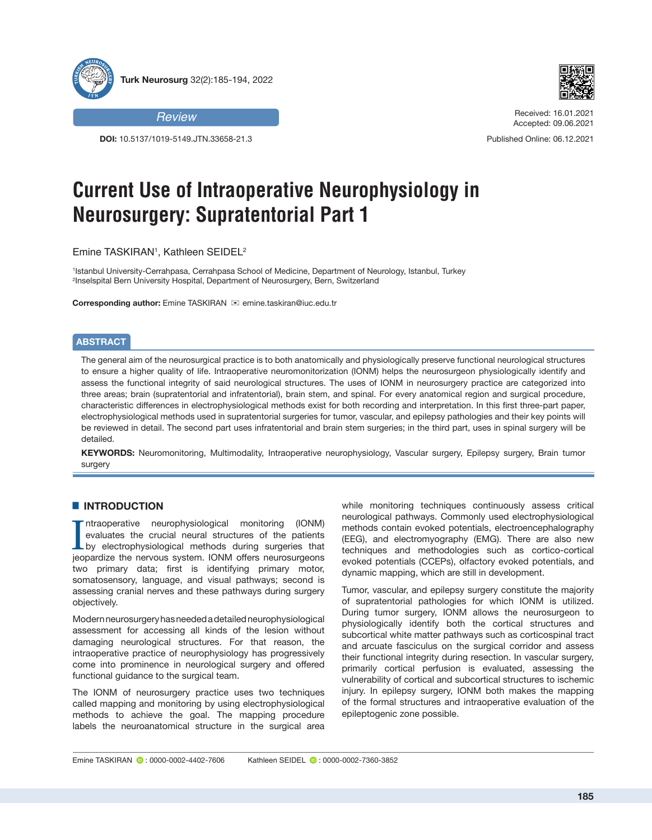



Received: 16.01.2021 Accepted: 09.06.2021

Published Online: 06.12.2021

**DOI:** 10.5137/1019-5149.JTN.33658-21.3

# **Current Use of Intraoperative Neurophysiology in Neurosurgery: Supratentorial Part 1**

Emine TASKIRAN<sup>1</sup>, Kathleen SEIDEL<sup>2</sup>

1 Istanbul University-Cerrahpasa, Cerrahpasa School of Medicine, Department of Neurology, Istanbul, Turkey 2 Inselspital Bern University Hospital, Department of Neurosurgery, Bern, Switzerland

**Corresponding author:** Emine TASKIRAN <sup>≥</sup> emine.taskiran@iuc.edu.tr

## **ABSTRACT**

The general aim of the neurosurgical practice is to both anatomically and physiologically preserve functional neurological structures to ensure a higher quality of life. Intraoperative neuromonitorization (IONM) helps the neurosurgeon physiologically identify and assess the functional integrity of said neurological structures. The uses of IONM in neurosurgery practice are categorized into three areas; brain (supratentorial and infratentorial), brain stem, and spinal. For every anatomical region and surgical procedure, characteristic differences in electrophysiological methods exist for both recording and interpretation. In this first three-part paper, electrophysiological methods used in supratentorial surgeries for tumor, vascular, and epilepsy pathologies and their key points will be reviewed in detail. The second part uses infratentorial and brain stem surgeries; in the third part, uses in spinal surgery will be detailed.

**KEYWORDS:** Neuromonitoring, Multimodality, Intraoperative neurophysiology, Vascular surgery, Epilepsy surgery, Brain tumor surgery

# █ **INTRODUCTION**

Intraoperative neurophysiological monitoring (IONM)<br>evaluates the crucial neural structures of the patients<br>by electrophysiological methods during surgeries that<br>ionarclize the neurous system JONM offers neurosurgeons ntraoperative neurophysiological monitoring (IONM) evaluates the crucial neural structures of the patients jeopardize the nervous system. IONM offers neurosurgeons two primary data; first is identifying primary motor, somatosensory, language, and visual pathways; second is assessing cranial nerves and these pathways during surgery objectively.

Modern neurosurgery has needed a detailed neurophysiological assessment for accessing all kinds of the lesion without damaging neurological structures. For that reason, the intraoperative practice of neurophysiology has progressively come into prominence in neurological surgery and offered functional guidance to the surgical team.

The IONM of neurosurgery practice uses two techniques called mapping and monitoring by using electrophysiological methods to achieve the goal. The mapping procedure labels the neuroanatomical structure in the surgical area while monitoring techniques continuously assess critical neurological pathways. Commonly used electrophysiological methods contain evoked potentials, electroencephalography (EEG), and electromyography (EMG). There are also new techniques and methodologies such as cortico-cortical evoked potentials (CCEPs), olfactory evoked potentials, and dynamic mapping, which are still in development.

Tumor, vascular, and epilepsy surgery constitute the majority of supratentorial pathologies for which IONM is utilized. During tumor surgery, IONM allows the neurosurgeon to physiologically identify both the cortical structures and subcortical white matter pathways such as corticospinal tract and arcuate fasciculus on the surgical corridor and assess their functional integrity during resection. In vascular surgery, primarily cortical perfusion is evaluated, assessing the vulnerability of cortical and subcortical structures to ischemic injury. In epilepsy surgery, IONM both makes the mapping of the formal structures and intraoperative evaluation of the epileptogenic zone possible.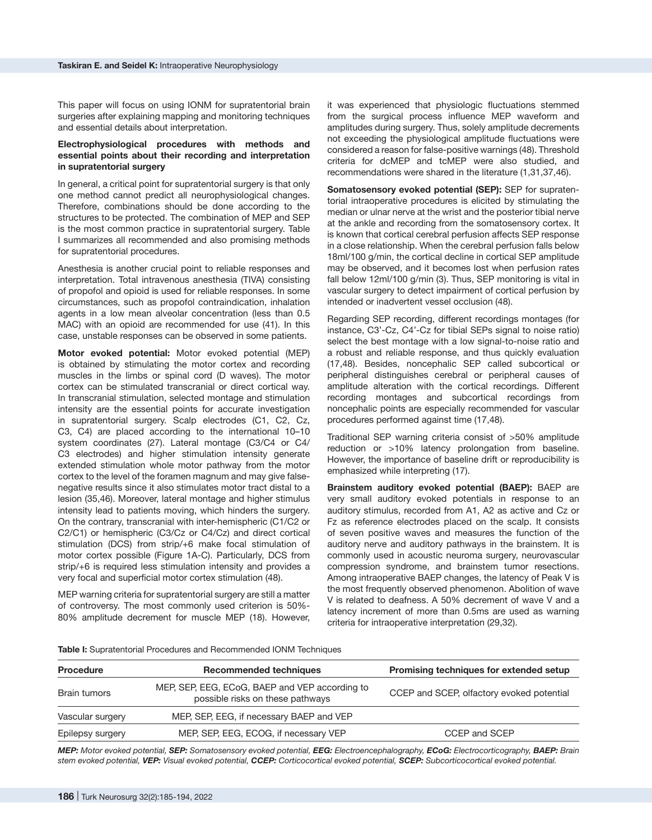This paper will focus on using IONM for supratentorial brain surgeries after explaining mapping and monitoring techniques and essential details about interpretation.

#### **Electrophysiological procedures with methods and essential points about their recording and interpretation in supratentorial surgery**

In general, a critical point for supratentorial surgery is that only one method cannot predict all neurophysiological changes. Therefore, combinations should be done according to the structures to be protected. The combination of MEP and SEP is the most common practice in supratentorial surgery. Table I summarizes all recommended and also promising methods for supratentorial procedures.

Anesthesia is another crucial point to reliable responses and interpretation. Total intravenous anesthesia (TIVA) consisting of propofol and opioid is used for reliable responses. In some circumstances, such as propofol contraindication, inhalation agents in a low mean alveolar concentration (less than 0.5 MAC) with an opioid are recommended for use (41). In this case, unstable responses can be observed in some patients.

**Motor evoked potential:** Motor evoked potential (MEP) is obtained by stimulating the motor cortex and recording muscles in the limbs or spinal cord (D waves). The motor cortex can be stimulated transcranial or direct cortical way. In transcranial stimulation, selected montage and stimulation intensity are the essential points for accurate investigation in supratentorial surgery. Scalp electrodes (C1, C2, Cz, C3, C4) are placed according to the international 10–10 system coordinates (27). Lateral montage (C3/C4 or C4/ C3 electrodes) and higher stimulation intensity generate extended stimulation whole motor pathway from the motor cortex to the level of the foramen magnum and may give falsenegative results since it also stimulates motor tract distal to a lesion (35,46). Moreover, lateral montage and higher stimulus intensity lead to patients moving, which hinders the surgery. On the contrary, transcranial with inter-hemispheric (C1/C2 or C2/C1) or hemispheric (C3/Cz or C4/Cz) and direct cortical stimulation (DCS) from strip/+6 make focal stimulation of motor cortex possible (Figure 1A-C). Particularly, DCS from strip/+6 is required less stimulation intensity and provides a very focal and superficial motor cortex stimulation (48).

MEP warning criteria for supratentorial surgery are still a matter of controversy. The most commonly used criterion is 50%- 80% amplitude decrement for muscle MEP (18). However, it was experienced that physiologic fluctuations stemmed from the surgical process influence MEP waveform and amplitudes during surgery. Thus, solely amplitude decrements not exceeding the physiological amplitude fluctuations were considered a reason for false-positive warnings (48). Threshold criteria for dcMEP and tcMEP were also studied, and recommendations were shared in the literature (1,31,37,46).

**Somatosensory evoked potential (SEP):** SEP for supratentorial intraoperative procedures is elicited by stimulating the median or ulnar nerve at the wrist and the posterior tibial nerve at the ankle and recording from the somatosensory cortex. It is known that cortical cerebral perfusion affects SEP response in a close relationship. When the cerebral perfusion falls below 18ml/100 g/min, the cortical decline in cortical SEP amplitude may be observed, and it becomes lost when perfusion rates fall below 12ml/100 g/min (3). Thus, SEP monitoring is vital in vascular surgery to detect impairment of cortical perfusion by intended or inadvertent vessel occlusion (48).

Regarding SEP recording, different recordings montages (for instance, C3'-Cz, C4'-Cz for tibial SEPs signal to noise ratio) select the best montage with a low signal-to-noise ratio and a robust and reliable response, and thus quickly evaluation (17,48). Besides, noncephalic SEP called subcortical or peripheral distinguishes cerebral or peripheral causes of amplitude alteration with the cortical recordings. Different recording montages and subcortical recordings from noncephalic points are especially recommended for vascular procedures performed against time (17,48).

Traditional SEP warning criteria consist of >50% amplitude reduction or >10% latency prolongation from baseline. However, the importance of baseline drift or reproducibility is emphasized while interpreting (17).

**Brainstem auditory evoked potential (BAEP):** BAEP are very small auditory evoked potentials in response to an auditory stimulus, recorded from A1, A2 as active and Cz or Fz as reference electrodes placed on the scalp. It consists of seven positive waves and measures the function of the auditory nerve and auditory pathways in the brainstem. It is commonly used in acoustic neuroma surgery, neurovascular compression syndrome, and brainstem tumor resections. Among intraoperative BAEP changes, the latency of Peak V is the most frequently observed phenomenon. Abolition of wave V is related to deafness. A 50% decrement of wave V and a latency increment of more than 0.5ms are used as warning criteria for intraoperative interpretation (29,32).

**Table I:** Supratentorial Procedures and Recommended IONM Techniques

| <b>Procedure</b> | <b>Recommended techniques</b>                                                      | Promising techniques for extended setup   |
|------------------|------------------------------------------------------------------------------------|-------------------------------------------|
| Brain tumors     | MEP, SEP, EEG, ECoG, BAEP and VEP according to<br>possible risks on these pathways | CCEP and SCEP, olfactory evoked potential |
| Vascular surgery | MEP, SEP, EEG, if necessary BAEP and VEP                                           |                                           |
| Epilepsy surgery | MEP, SEP, EEG, ECOG, if necessary VEP                                              | CCEP and SCEP                             |
|                  |                                                                                    |                                           |

*MEP: Motor evoked potential, SEP: Somatosensory evoked potential, EEG: Electroencephalography, ECoG: Electrocorticography, BAEP: Brain stem evoked potential, VEP: Visual evoked potential, CCEP: Corticocortical evoked potential, SCEP: Subcorticocortical evoked potential.*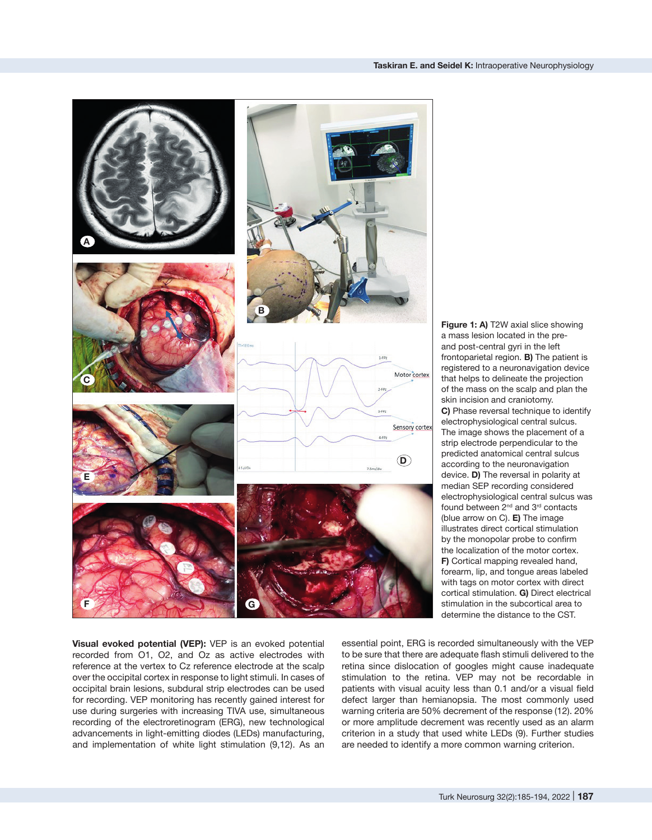

**Figure 1: A)** T2W axial slice showing a mass lesion located in the preand post-central gyri in the left frontoparietal region. **B)** The patient is registered to a neuronavigation device that helps to delineate the projection of the mass on the scalp and plan the skin incision and craniotomy. **C)** Phase reversal technique to identify electrophysiological central sulcus. The image shows the placement of a strip electrode perpendicular to the predicted anatomical central sulcus according to the neuronavigation device. **D)** The reversal in polarity at median SEP recording considered electrophysiological central sulcus was found between 2<sup>nd</sup> and 3<sup>rd</sup> contacts (blue arrow on C). **E)** The image illustrates direct cortical stimulation by the monopolar probe to confirm the localization of the motor cortex. **F)** Cortical mapping revealed hand, forearm, lip, and tongue areas labeled with tags on motor cortex with direct cortical stimulation. **G)** Direct electrical stimulation in the subcortical area to determine the distance to the CST.

**Visual evoked potential (VEP):** VEP is an evoked potential recorded from O1, O2, and Oz as active electrodes with reference at the vertex to Cz reference electrode at the scalp over the occipital cortex in response to light stimuli. In cases of occipital brain lesions, subdural strip electrodes can be used for recording. VEP monitoring has recently gained interest for use during surgeries with increasing TIVA use, simultaneous recording of the electroretinogram (ERG), new technological advancements in light-emitting diodes (LEDs) manufacturing, and implementation of white light stimulation (9,12). As an

essential point, ERG is recorded simultaneously with the VEP to be sure that there are adequate flash stimuli delivered to the retina since dislocation of googles might cause inadequate stimulation to the retina. VEP may not be recordable in patients with visual acuity less than 0.1 and/or a visual field defect larger than hemianopsia. The most commonly used warning criteria are 50% decrement of the response (12). 20% or more amplitude decrement was recently used as an alarm criterion in a study that used white LEDs (9). Further studies are needed to identify a more common warning criterion.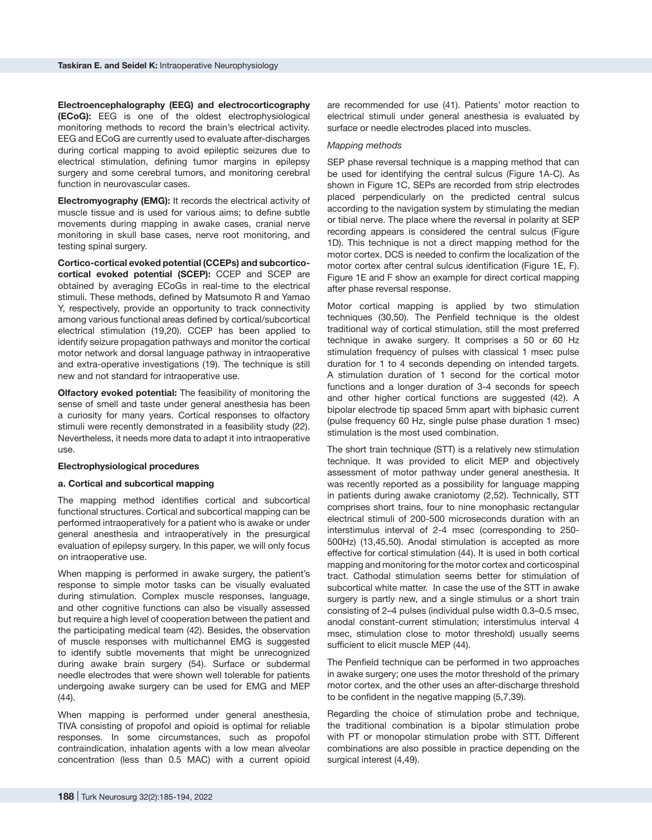**Electroencephalography (EEG) and electrocorticography (ECoG):** EEG is one of the oldest electrophysiological monitoring methods to record the brain's electrical activity. EEG and ECoG are currently used to evaluate after-discharges during cortical mapping to avoid epileptic seizures due to electrical stimulation, defining tumor margins in epilepsy surgery and some cerebral tumors, and monitoring cerebral function in neurovascular cases.

**Electromyography (EMG):** It records the electrical activity of muscle tissue and is used for various aims; to define subtle movements during mapping in awake cases, cranial nerve monitoring in skull base cases, nerve root monitoring, and testing spinal surgery.

**Cortico-cortical evoked potential (CCEPs) and subcorticocortical evoked potential (SCEP):** CCEP and SCEP are obtained by averaging ECoGs in real-time to the electrical stimuli. These methods, defined by Matsumoto R and Yamao Y, respectively, provide an opportunity to track connectivity among various functional areas defined by cortical/subcortical electrical stimulation (19,20). CCEP has been applied to identify seizure propagation pathways and monitor the cortical motor network and dorsal language pathway in intraoperative and extra-operative investigations (19). The technique is still new and not standard for intraoperative use.

**Olfactory evoked potential:** The feasibility of monitoring the sense of smell and taste under general anesthesia has been a curiosity for many years. Cortical responses to olfactory stimuli were recently demonstrated in a feasibility study (22). Nevertheless, it needs more data to adapt it into intraoperative use.

#### **Electrophysiological procedures**

#### **a. Cortical and subcortical mapping**

The mapping method identifies cortical and subcortical functional structures. Cortical and subcortical mapping can be performed intraoperatively for a patient who is awake or under general anesthesia and intraoperatively in the presurgical evaluation of epilepsy surgery. In this paper, we will only focus on intraoperative use.

When mapping is performed in awake surgery, the patient's response to simple motor tasks can be visually evaluated during stimulation. Complex muscle responses, language, and other cognitive functions can also be visually assessed but require a high level of cooperation between the patient and the participating medical team (42). Besides, the observation of muscle responses with multichannel EMG is suggested to identify subtle movements that might be unrecognized during awake brain surgery (54). Surface or subdermal needle electrodes that were shown well tolerable for patients undergoing awake surgery can be used for EMG and MEP (44).

When mapping is performed under general anesthesia, TIVA consisting of propofol and opioid is optimal for reliable responses. In some circumstances, such as propofol contraindication, inhalation agents with a low mean alveolar concentration (less than 0.5 MAC) with a current opioid

are recommended for use (41). Patients' motor reaction to electrical stimuli under general anesthesia is evaluated by surface or needle electrodes placed into muscles.

#### *Mapping methods*

SEP phase reversal technique is a mapping method that can be used for identifying the central sulcus (Figure 1A-C). As shown in Figure 1C, SEPs are recorded from strip electrodes placed perpendicularly on the predicted central sulcus according to the navigation system by stimulating the median or tibial nerve. The place where the reversal in polarity at SEP recording appears is considered the central sulcus (Figure 1D). This technique is not a direct mapping method for the motor cortex. DCS is needed to confirm the localization of the motor cortex after central sulcus identification (Figure 1E, F). Figure 1E and F show an example for direct cortical mapping after phase reversal response.

Motor cortical mapping is applied by two stimulation techniques (30,50). The Penfield technique is the oldest traditional way of cortical stimulation, still the most preferred technique in awake surgery. It comprises a 50 or 60 Hz stimulation frequency of pulses with classical 1 msec pulse duration for 1 to 4 seconds depending on intended targets. A stimulation duration of 1 second for the cortical motor functions and a longer duration of 3-4 seconds for speech and other higher cortical functions are suggested (42). A bipolar electrode tip spaced 5mm apart with biphasic current (pulse frequency 60 Hz, single pulse phase duration 1 msec) stimulation is the most used combination.

The short train technique (STT) is a relatively new stimulation technique. It was provided to elicit MEP and objectively assessment of motor pathway under general anesthesia. It was recently reported as a possibility for language mapping in patients during awake craniotomy (2,52). Technically, STT comprises short trains, four to nine monophasic rectangular electrical stimuli of 200-500 microseconds duration with an interstimulus interval of 2-4 msec (corresponding to 250- 500Hz) (13,45,50). Anodal stimulation is accepted as more effective for cortical stimulation (44). It is used in both cortical mapping and monitoring for the motor cortex and corticospinal tract. Cathodal stimulation seems better for stimulation of subcortical white matter. In case the use of the STT in awake surgery is partly new, and a single stimulus or a short train consisting of 2–4 pulses (individual pulse width 0.3–0.5 msec, anodal constant-current stimulation; interstimulus interval 4 msec, stimulation close to motor threshold) usually seems sufficient to elicit muscle MEP (44).

The Penfield technique can be performed in two approaches in awake surgery; one uses the motor threshold of the primary motor cortex, and the other uses an after-discharge threshold to be confident in the negative mapping (5,7,39).

Regarding the choice of stimulation probe and technique, the traditional combination is a bipolar stimulation probe with PT or monopolar stimulation probe with STT. Different combinations are also possible in practice depending on the surgical interest (4,49).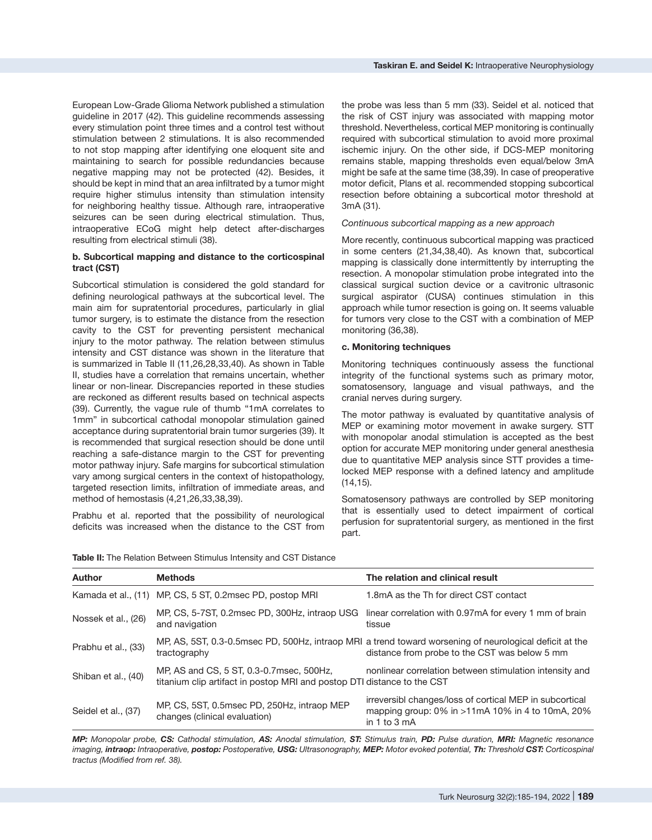European Low-Grade Glioma Network published a stimulation guideline in 2017 (42). This guideline recommends assessing every stimulation point three times and a control test without stimulation between 2 stimulations. It is also recommended to not stop mapping after identifying one eloquent site and maintaining to search for possible redundancies because negative mapping may not be protected (42). Besides, it should be kept in mind that an area infiltrated by a tumor might require higher stimulus intensity than stimulation intensity for neighboring healthy tissue. Although rare, intraoperative seizures can be seen during electrical stimulation. Thus, intraoperative ECoG might help detect after-discharges resulting from electrical stimuli (38).

#### **b. Subcortical mapping and distance to the corticospinal tract (CST)**

Subcortical stimulation is considered the gold standard for defining neurological pathways at the subcortical level. The main aim for supratentorial procedures, particularly in glial tumor surgery, is to estimate the distance from the resection cavity to the CST for preventing persistent mechanical injury to the motor pathway. The relation between stimulus intensity and CST distance was shown in the literature that is summarized in Table II (11,26,28,33,40). As shown in Table II, studies have a correlation that remains uncertain, whether linear or non-linear. Discrepancies reported in these studies are reckoned as different results based on technical aspects (39). Currently, the vague rule of thumb "1mA correlates to 1mm" in subcortical cathodal monopolar stimulation gained acceptance during supratentorial brain tumor surgeries (39). It is recommended that surgical resection should be done until reaching a safe-distance margin to the CST for preventing motor pathway injury. Safe margins for subcortical stimulation vary among surgical centers in the context of histopathology, targeted resection limits, infiltration of immediate areas, and method of hemostasis (4,21,26,33,38,39).

Prabhu et al. reported that the possibility of neurological deficits was increased when the distance to the CST from the probe was less than 5 mm (33). Seidel et al. noticed that the risk of CST injury was associated with mapping motor threshold. Nevertheless, cortical MEP monitoring is continually required with subcortical stimulation to avoid more proximal ischemic injury. On the other side, if DCS-MEP monitoring remains stable, mapping thresholds even equal/below 3mA might be safe at the same time (38,39). In case of preoperative motor deficit, Plans et al. recommended stopping subcortical resection before obtaining a subcortical motor threshold at 3mA (31).

#### *Continuous subcortical mapping as a new approach*

More recently, continuous subcortical mapping was practiced in some centers (21,34,38,40). As known that, subcortical mapping is classically done intermittently by interrupting the resection. A monopolar stimulation probe integrated into the classical surgical suction device or a cavitronic ultrasonic surgical aspirator (CUSA) continues stimulation in this approach while tumor resection is going on. It seems valuable for tumors very close to the CST with a combination of MEP monitoring (36,38).

#### **c. Monitoring techniques**

Monitoring techniques continuously assess the functional integrity of the functional systems such as primary motor, somatosensory, language and visual pathways, and the cranial nerves during surgery.

The motor pathway is evaluated by quantitative analysis of MEP or examining motor movement in awake surgery. STT with monopolar anodal stimulation is accepted as the best option for accurate MEP monitoring under general anesthesia due to quantitative MEP analysis since STT provides a timelocked MEP response with a defined latency and amplitude  $(14.15)$ .

Somatosensory pathways are controlled by SEP monitoring that is essentially used to detect impairment of cortical perfusion for supratentorial surgery, as mentioned in the first part.

| <b>Table II:</b> The Relation Between Stimulus Intensity and CST Distance |  |
|---------------------------------------------------------------------------|--|
|---------------------------------------------------------------------------|--|

| <b>Author</b>       | <b>Methods</b>                                                                                                       | The relation and clinical result                                                                                                                         |
|---------------------|----------------------------------------------------------------------------------------------------------------------|----------------------------------------------------------------------------------------------------------------------------------------------------------|
|                     | Kamada et al., (11) MP, CS, 5 ST, 0.2msec PD, postop MRI                                                             | 1.8mA as the Th for direct CST contact                                                                                                                   |
| Nossek et al., (26) | MP, CS, 5-7ST, 0.2msec PD, 300Hz, intraop USG<br>and navigation                                                      | linear correlation with 0.97mA for every 1 mm of brain<br>tissue                                                                                         |
| Prabhu et al., (33) | tractography                                                                                                         | MP, AS, 5ST, 0.3-0.5msec PD, 500Hz, intraop MRI a trend toward worsening of neurological deficit at the<br>distance from probe to the CST was below 5 mm |
| Shiban et al., (40) | MP, AS and CS, 5 ST, 0.3-0.7 msec, 500Hz,<br>titanium clip artifact in postop MRI and postop DTI distance to the CST | nonlinear correlation between stimulation intensity and                                                                                                  |
| Seidel et al., (37) | MP, CS, 5ST, 0.5msec PD, 250Hz, intraop MEP<br>changes (clinical evaluation)                                         | irreversibl changes/loss of cortical MEP in subcortical<br>mapping group: $0\%$ in $>11$ mA 10% in 4 to 10mA, 20%<br>in 1 to 3 $mA$                      |

*MP: Monopolar probe, CS: Cathodal stimulation, AS: Anodal stimulation, ST: Stimulus train, PD: Pulse duration, MRI: Magnetic resonance*  imaging, intraop: Intraoperative, postop: Postoperative, USG: Ultrasonography, MEP: Motor evoked potential, Th: Threshold CST: Corticospinal *tractus (Modified from ref. 38).*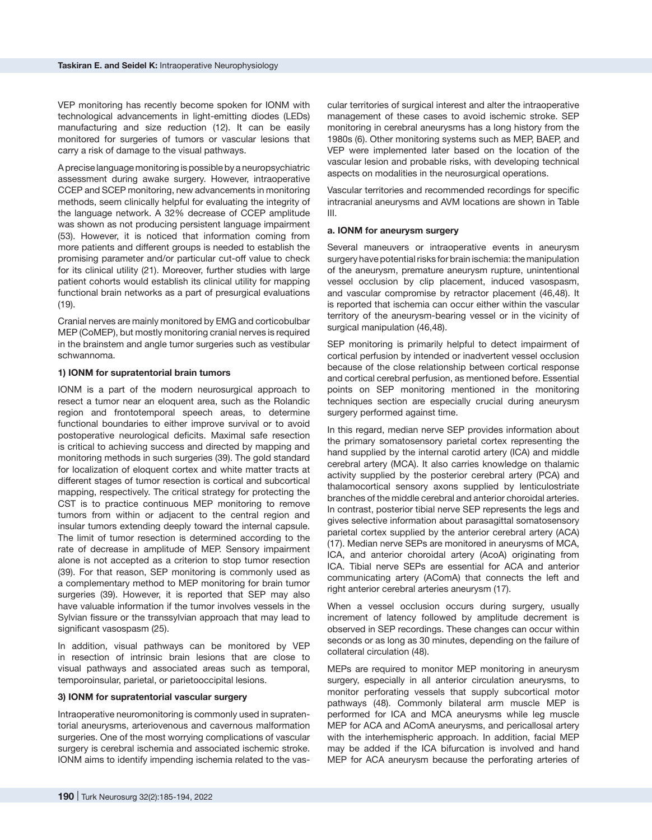VEP monitoring has recently become spoken for IONM with technological advancements in light-emitting diodes (LEDs) manufacturing and size reduction (12). It can be easily monitored for surgeries of tumors or vascular lesions that carry a risk of damage to the visual pathways.

A precise language monitoring is possible by a neuropsychiatric assessment during awake surgery. However, intraoperative CCEP and SCEP monitoring, new advancements in monitoring methods, seem clinically helpful for evaluating the integrity of the language network. A 32% decrease of CCEP amplitude was shown as not producing persistent language impairment (53). However, it is noticed that information coming from more patients and different groups is needed to establish the promising parameter and/or particular cut-off value to check for its clinical utility (21). Moreover, further studies with large patient cohorts would establish its clinical utility for mapping functional brain networks as a part of presurgical evaluations (19).

Cranial nerves are mainly monitored by EMG and corticobulbar MEP (CoMEP), but mostly monitoring cranial nerves is required in the brainstem and angle tumor surgeries such as vestibular schwannoma.

#### **1) IONM for supratentorial brain tumors**

IONM is a part of the modern neurosurgical approach to resect a tumor near an eloquent area, such as the Rolandic region and frontotemporal speech areas, to determine functional boundaries to either improve survival or to avoid postoperative neurological deficits. Maximal safe resection is critical to achieving success and directed by mapping and monitoring methods in such surgeries (39). The gold standard for localization of eloquent cortex and white matter tracts at different stages of tumor resection is cortical and subcortical mapping, respectively. The critical strategy for protecting the CST is to practice continuous MEP monitoring to remove tumors from within or adjacent to the central region and insular tumors extending deeply toward the internal capsule. The limit of tumor resection is determined according to the rate of decrease in amplitude of MEP. Sensory impairment alone is not accepted as a criterion to stop tumor resection (39). For that reason, SEP monitoring is commonly used as a complementary method to MEP monitoring for brain tumor surgeries (39). However, it is reported that SEP may also have valuable information if the tumor involves vessels in the Sylvian fissure or the transsylvian approach that may lead to significant vasospasm (25).

In addition, visual pathways can be monitored by VEP in resection of intrinsic brain lesions that are close to visual pathways and associated areas such as temporal, temporoinsular, parietal, or parietooccipital lesions.

#### **3) IONM for supratentorial vascular surgery**

Intraoperative neuromonitoring is commonly used in supratentorial aneurysms, arteriovenous and cavernous malformation surgeries. One of the most worrying complications of vascular surgery is cerebral ischemia and associated ischemic stroke. IONM aims to identify impending ischemia related to the vascular territories of surgical interest and alter the intraoperative management of these cases to avoid ischemic stroke. SEP monitoring in cerebral aneurysms has a long history from the 1980s (6). Other monitoring systems such as MEP, BAEP, and VEP were implemented later based on the location of the vascular lesion and probable risks, with developing technical aspects on modalities in the neurosurgical operations.

Vascular territories and recommended recordings for specific intracranial aneurysms and AVM locations are shown in Table III.

#### **a. IONM for aneurysm surgery**

Several maneuvers or intraoperative events in aneurysm surgery have potential risks for brain ischemia: the manipulation of the aneurysm, premature aneurysm rupture, unintentional vessel occlusion by clip placement, induced vasospasm, and vascular compromise by retractor placement (46,48). It is reported that ischemia can occur either within the vascular territory of the aneurysm-bearing vessel or in the vicinity of surgical manipulation (46,48).

SEP monitoring is primarily helpful to detect impairment of cortical perfusion by intended or inadvertent vessel occlusion because of the close relationship between cortical response and cortical cerebral perfusion, as mentioned before. Essential points on SEP monitoring mentioned in the monitoring techniques section are especially crucial during aneurysm surgery performed against time.

In this regard, median nerve SEP provides information about the primary somatosensory parietal cortex representing the hand supplied by the internal carotid artery (ICA) and middle cerebral artery (MCA). It also carries knowledge on thalamic activity supplied by the posterior cerebral artery (PCA) and thalamocortical sensory axons supplied by lenticulostriate branches of the middle cerebral and anterior choroidal arteries. In contrast, posterior tibial nerve SEP represents the legs and gives selective information about parasagittal somatosensory parietal cortex supplied by the anterior cerebral artery (ACA) (17). Median nerve SEPs are monitored in aneurysms of MCA, ICA, and anterior choroidal artery (AcoA) originating from ICA. Tibial nerve SEPs are essential for ACA and anterior communicating artery (AComA) that connects the left and right anterior cerebral arteries aneurysm (17).

When a vessel occlusion occurs during surgery, usually increment of latency followed by amplitude decrement is observed in SEP recordings. These changes can occur within seconds or as long as 30 minutes, depending on the failure of collateral circulation (48).

MEPs are required to monitor MEP monitoring in aneurysm surgery, especially in all anterior circulation aneurysms, to monitor perforating vessels that supply subcortical motor pathways (48). Commonly bilateral arm muscle MEP is performed for ICA and MCA aneurysms while leg muscle MEP for ACA and AComA aneurysms, and pericallosal artery with the interhemispheric approach. In addition, facial MEP may be added if the ICA bifurcation is involved and hand MEP for ACA aneurysm because the perforating arteries of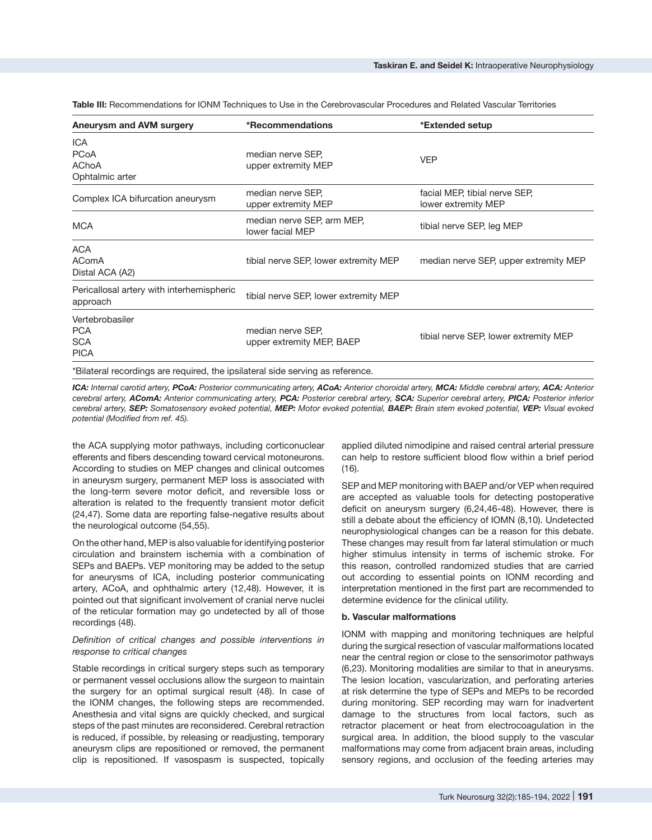| Aneurysm and AVM surgery                                                       | *Recommendations                               | *Extended setup                                      |
|--------------------------------------------------------------------------------|------------------------------------------------|------------------------------------------------------|
| ICA<br><b>PCoA</b><br><b>AChoA</b><br>Ophtalmic arter                          | median nerve SEP,<br>upper extremity MEP       | <b>VEP</b>                                           |
| Complex ICA bifurcation aneurysm                                               | median nerve SEP,<br>upper extremity MEP       | facial MEP, tibial nerve SEP,<br>lower extremity MEP |
| <b>MCA</b>                                                                     | median nerve SEP, arm MEP,<br>lower facial MEP | tibial nerve SEP, leg MEP                            |
| ACA<br><b>AComA</b><br>Distal ACA (A2)                                         | tibial nerve SEP, lower extremity MEP          | median nerve SEP, upper extremity MEP                |
| Pericallosal artery with interhemispheric<br>approach                          | tibial nerve SEP, lower extremity MEP          |                                                      |
| Vertebrobasiler<br><b>PCA</b><br><b>SCA</b><br><b>PICA</b>                     | median nerve SEP,<br>upper extremity MEP, BAEP | tibial nerve SEP, lower extremity MEP                |
| *Bilateral recordings are required, the ipsilateral side serving as reference. |                                                |                                                      |

**Table III:** Recommendations for IONM Techniques to Use in the Cerebrovascular Procedures and Related Vascular Territories

*ICA: Internal carotid artery, PCoA: Posterior communicating artery, ACoA: Anterior choroidal artery, MCA: Middle cerebral artery, ACA: Anterior cerebral artery, AComA: Anterior communicating artery, PCA: Posterior cerebral artery, SCA: Superior cerebral artery, PICA: Posterior inferior cerebral artery, SEP: Somatosensory evoked potential, MEP: Motor evoked potential, BAEP: Brain stem evoked potential, VEP: Visual evoked potential (Modified from ref. 45).* 

the ACA supplying motor pathways, including corticonuclear efferents and fibers descending toward cervical motoneurons. According to studies on MEP changes and clinical outcomes in aneurysm surgery, permanent MEP loss is associated with the long-term severe motor deficit, and reversible loss or alteration is related to the frequently transient motor deficit (24,47). Some data are reporting false-negative results about the neurological outcome (54,55).

On the other hand, MEP is also valuable for identifying posterior circulation and brainstem ischemia with a combination of SEPs and BAEPs. VEP monitoring may be added to the setup for aneurysms of ICA, including posterior communicating artery, ACoA, and ophthalmic artery (12,48). However, it is pointed out that significant involvement of cranial nerve nuclei of the reticular formation may go undetected by all of those recordings (48).

#### *Definition of critical changes and possible interventions in response to critical changes*

Stable recordings in critical surgery steps such as temporary or permanent vessel occlusions allow the surgeon to maintain the surgery for an optimal surgical result (48). In case of the IONM changes, the following steps are recommended. Anesthesia and vital signs are quickly checked, and surgical steps of the past minutes are reconsidered. Cerebral retraction is reduced, if possible, by releasing or readjusting, temporary aneurysm clips are repositioned or removed, the permanent clip is repositioned. If vasospasm is suspected, topically

applied diluted nimodipine and raised central arterial pressure can help to restore sufficient blood flow within a brief period (16).

SEP and MEP monitoring with BAEP and/or VEP when required are accepted as valuable tools for detecting postoperative deficit on aneurysm surgery (6,24,46-48). However, there is still a debate about the efficiency of IOMN (8,10). Undetected neurophysiological changes can be a reason for this debate. These changes may result from far lateral stimulation or much higher stimulus intensity in terms of ischemic stroke. For this reason, controlled randomized studies that are carried out according to essential points on IONM recording and interpretation mentioned in the first part are recommended to determine evidence for the clinical utility.

#### **b. Vascular malformations**

IONM with mapping and monitoring techniques are helpful during the surgical resection of vascular malformations located near the central region or close to the sensorimotor pathways (6,23). Monitoring modalities are similar to that in aneurysms. The lesion location, vascularization, and perforating arteries at risk determine the type of SEPs and MEPs to be recorded during monitoring. SEP recording may warn for inadvertent damage to the structures from local factors, such as retractor placement or heat from electrocoagulation in the surgical area. In addition, the blood supply to the vascular malformations may come from adjacent brain areas, including sensory regions, and occlusion of the feeding arteries may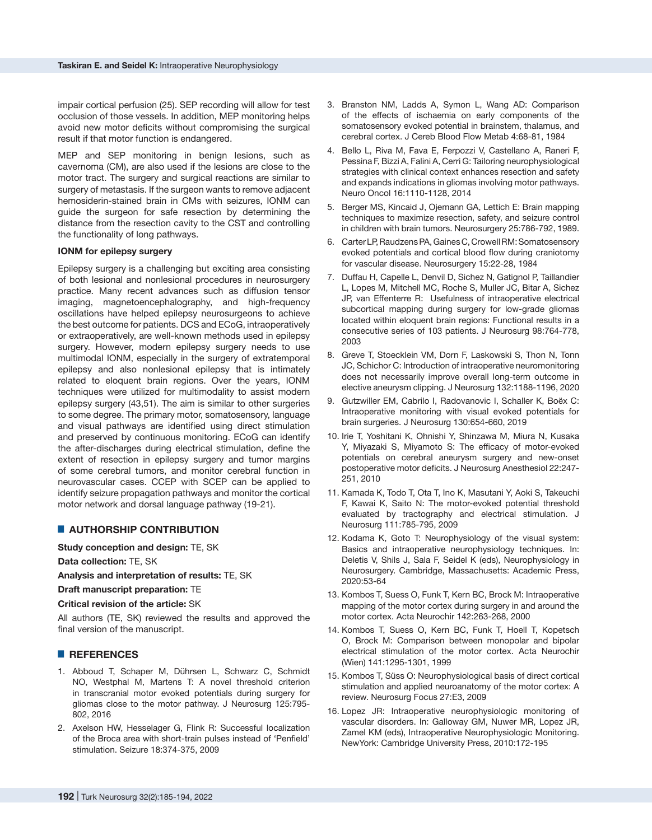impair cortical perfusion (25). SEP recording will allow for test occlusion of those vessels. In addition, MEP monitoring helps avoid new motor deficits without compromising the surgical result if that motor function is endangered.

MEP and SEP monitoring in benign lesions, such as cavernoma (CM), are also used if the lesions are close to the motor tract. The surgery and surgical reactions are similar to surgery of metastasis. If the surgeon wants to remove adjacent hemosiderin-stained brain in CMs with seizures, IONM can guide the surgeon for safe resection by determining the distance from the resection cavity to the CST and controlling the functionality of long pathways.

#### **IONM for epilepsy surgery**

Epilepsy surgery is a challenging but exciting area consisting of both lesional and nonlesional procedures in neurosurgery practice. Many recent advances such as diffusion tensor imaging, magnetoencephalography, and high-frequency oscillations have helped epilepsy neurosurgeons to achieve the best outcome for patients. DCS and ECoG, intraoperatively or extraoperatively, are well-known methods used in epilepsy surgery. However, modern epilepsy surgery needs to use multimodal IONM, especially in the surgery of extratemporal epilepsy and also nonlesional epilepsy that is intimately related to eloquent brain regions. Over the years, IONM techniques were utilized for multimodality to assist modern epilepsy surgery (43,51). The aim is similar to other surgeries to some degree. The primary motor, somatosensory, language and visual pathways are identified using direct stimulation and preserved by continuous monitoring. ECoG can identify the after-discharges during electrical stimulation, define the extent of resection in epilepsy surgery and tumor margins of some cerebral tumors, and monitor cerebral function in neurovascular cases. CCEP with SCEP can be applied to identify seizure propagation pathways and monitor the cortical motor network and dorsal language pathway (19-21).

#### █ **AUTHORSHIP CONTRIBUTION**

**Study conception and design:** TE, SK

**Data collection:** TE, SK

**Analysis and interpretation of results:** TE, SK

# **Draft manuscript preparation:** TE

**Critical revision of the article:** SK

All authors (TE, SK) reviewed the results and approved the final version of the manuscript.

## █ **REFERENCES**

- 1. Abboud T, Schaper M, Dührsen L, Schwarz C, Schmidt NO, Westphal M, Martens T: A novel threshold criterion in transcranial motor evoked potentials during surgery for gliomas close to the motor pathway. J Neurosurg 125:795- 802, 2016
- 2. Axelson HW, Hesselager G, Flink R: Successful localization of the Broca area with short-train pulses instead of 'Penfield' stimulation. Seizure 18:374-375, 2009
- 3. Branston NM, Ladds A, Symon L, Wang AD: Comparison of the effects of ischaemia on early components of the somatosensory evoked potential in brainstem, thalamus, and cerebral cortex. J Cereb Blood Flow Metab 4:68-81, 1984
- 4. Bello L, Riva M, Fava E, Ferpozzi V, Castellano A, Raneri F, Pessina F, Bizzi A, Falini A, Cerri G: Tailoring neurophysiological strategies with clinical context enhances resection and safety and expands indications in gliomas involving motor pathways. Neuro Oncol 16:1110‐1128, 2014
- 5. Berger MS, Kincaid J, Ojemann GA, Lettich E: Brain mapping techniques to maximize resection, safety, and seizure control in children with brain tumors. Neurosurgery 25:786-792, 1989.
- 6. Carter LP, Raudzens PA, Gaines C, Crowell RM: Somatosensory evoked potentials and cortical blood flow during craniotomy for vascular disease. Neurosurgery 15:22-28, 1984
- 7. Duffau H, Capelle L, Denvil D, Sichez N, Gatignol P, Taillandier L, Lopes M, Mitchell MC, Roche S, Muller JC, Bitar A, Sichez JP, van Effenterre R: Usefulness of intraoperative electrical subcortical mapping during surgery for low-grade gliomas located within eloquent brain regions: Functional results in a consecutive series of 103 patients. J Neurosurg 98:764-778, 2003
- 8. Greve T, Stoecklein VM, Dorn F, Laskowski S, Thon N, Tonn JC, Schichor C: Introduction of intraoperative neuromonitoring does not necessarily improve overall long-term outcome in elective aneurysm clipping. J Neurosurg 132:1188-1196, 2020
- 9. Gutzwiller EM, Cabrilo I, Radovanovic I, Schaller K, Boëx C: Intraoperative monitoring with visual evoked potentials for brain surgeries. J Neurosurg 130:654-660, 2019
- 10. Irie T, Yoshitani K, Ohnishi Y, Shinzawa M, Miura N, Kusaka Y, Miyazaki S, Miyamoto S: The efficacy of motor-evoked potentials on cerebral aneurysm surgery and new-onset postoperative motor deficits. J Neurosurg Anesthesiol 22:247- 251, 2010
- 11. Kamada K, Todo T, Ota T, Ino K, Masutani Y, Aoki S, Takeuchi F, Kawai K, Saito N: The motor-evoked potential threshold evaluated by tractography and electrical stimulation. J Neurosurg 111:785-795, 2009
- 12. Kodama K, Goto T: Neurophysiology of the visual system: Basics and intraoperative neurophysiology techniques. In: Deletis V, Shils J, Sala F, Seidel K (eds), Neurophysiology in Neurosurgery. Cambridge, Massachusetts: Academic Press, 2020:53-64
- 13. Kombos T, Suess O, Funk T, Kern BC, Brock M: Intraoperative mapping of the motor cortex during surgery in and around the motor cortex. Acta Neurochir 142:263-268, 2000
- 14. Kombos T, Suess O, Kern BC, Funk T, Hoell T, Kopetsch O, Brock M: Comparison between monopolar and bipolar electrical stimulation of the motor cortex. Acta Neurochir (Wien) 141:1295-1301, 1999
- 15. Kombos T, Süss O: Neurophysiological basis of direct cortical stimulation and applied neuroanatomy of the motor cortex: A review. Neurosurg Focus 27:E3, 2009
- 16. Lopez JR: Intraoperative neurophysiologic monitoring of vascular disorders. In: Galloway GM, Nuwer MR, Lopez JR, Zamel KM (eds), Intraoperative Neurophysiologic Monitoring. NewYork: Cambridge University Press, 2010:172-195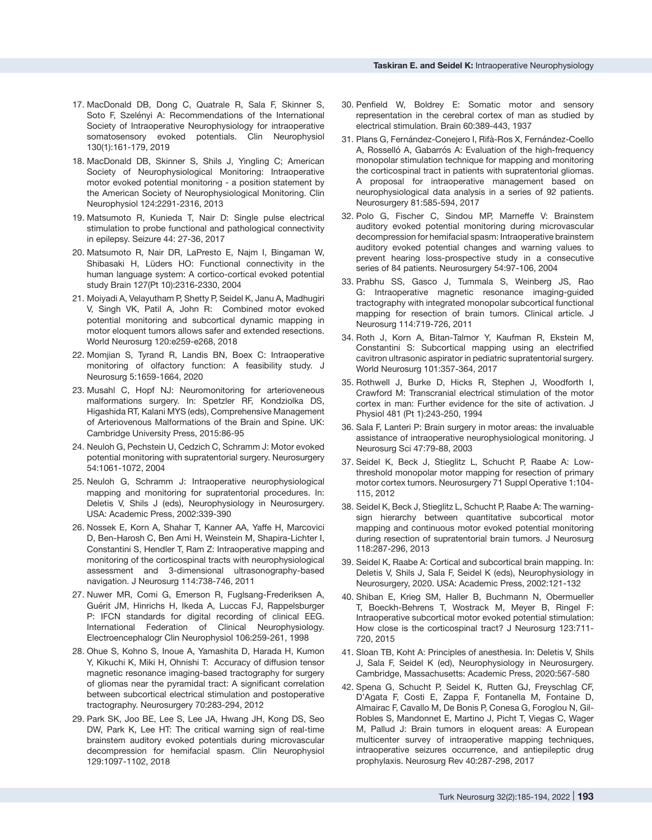- 17. MacDonald DB, Dong C, Quatrale R, Sala F, Skinner S, Soto F, Szelényi A: Recommendations of the International Society of Intraoperative Neurophysiology for intraoperative somatosensory evoked potentials. Clin Neurophysiol 130(1):161-179, 2019
- 18. MacDonald DB, Skinner S, Shils J, Yingling C; American Society of Neurophysiological Monitoring: Intraoperative motor evoked potential monitoring - a position statement by the American Society of Neurophysiological Monitoring. Clin Neurophysiol 124:2291-2316, 2013
- 19. Matsumoto R, Kunieda T, Nair D: Single pulse electrical stimulation to probe functional and pathological connectivity in epilepsy. Seizure 44: 27-36, 2017
- 20. Matsumoto R, Nair DR, LaPresto E, Najm I, Bingaman W, Shibasaki H, Lüders HO: Functional connectivity in the human language system: A cortico-cortical evoked potential study Brain 127(Pt 10):2316-2330, 2004
- 21. Moiyadi A, Velayutham P, Shetty P, Seidel K, Janu A, Madhugiri V, Singh VK, Patil A, John R: Combined motor evoked potential monitoring and subcortical dynamic mapping in motor eloquent tumors allows safer and extended resections. World Neurosurg 120:e259-e268, 2018
- 22. Momjian S, Tyrand R, Landis BN, Boex C: Intraoperative monitoring of olfactory function: A feasibility study. J Neurosurg 5:1659-1664, 2020
- 23. Musahl C, Hopf NJ: Neuromonitoring for arterioveneous malformations surgery. In: Spetzler RF, Kondziolka DS, Higashida RT, Kalani MYS (eds), Comprehensive Management of Arteriovenous Malformations of the Brain and Spine. UK: Cambridge University Press, 2015:86-95
- 24. Neuloh G, Pechstein U, Cedzich C, Schramm J: Motor evoked potential monitoring with supratentorial surgery. Neurosurgery 54:1061-1072, 2004
- 25. Neuloh G, Schramm J: Intraoperative neurophysiological mapping and monitoring for supratentorial procedures. In: Deletis V, Shils J (eds), Neurophysiology in Neurosurgery. USA: Academic Press, 2002:339-390
- 26. Nossek E, Korn A, Shahar T, Kanner AA, Yaffe H, Marcovici D, Ben-Harosh C, Ben Ami H, Weinstein M, Shapira-Lichter I, Constantini S, Hendler T, Ram Z: Intraoperative mapping and monitoring of the corticospinal tracts with neurophysiological assessment and 3-dimensional ultrasonography-based navigation. J Neurosurg 114:738-746, 2011
- 27. Nuwer MR, Comi G, Emerson R, Fuglsang-Frederiksen A, Guérit JM, Hinrichs H, Ikeda A, Luccas FJ, Rappelsburger P: IFCN standards for digital recording of clinical EEG. International Federation of Clinical Neurophysiology. Electroencephalogr Clin Neurophysiol 106:259-261, 1998
- 28. Ohue S, Kohno S, Inoue A, Yamashita D, Harada H, Kumon Y, Kikuchi K, Miki H, Ohnishi T: Accuracy of diffusion tensor magnetic resonance imaging-based tractography for surgery of gliomas near the pyramidal tract: A significant correlation between subcortical electrical stimulation and postoperative tractography. Neurosurgery 70:283-294, 2012
- 29. Park SK, Joo BE, Lee S, Lee JA, Hwang JH, Kong DS, Seo DW, Park K, Lee HT: The critical warning sign of real-time brainstem auditory evoked potentials during microvascular decompression for hemifacial spasm. Clin Neurophysiol 129:1097-1102, 2018
- 30. Penfield W, Boldrey E: Somatic motor and sensory representation in the cerebral cortex of man as studied by electrical stimulation. Brain 60:389-443, 1937
- 31. Plans G, Fernández-Conejero I, Rifà-Ros X, Fernández-Coello A, Rosselló A, Gabarrós A: Evaluation of the high-frequency monopolar stimulation technique for mapping and monitoring the corticospinal tract in patients with supratentorial gliomas. A proposal for intraoperative management based on neurophysiological data analysis in a series of 92 patients. Neurosurgery 81:585-594, 2017
- 32. Polo G, Fischer C, Sindou MP, Marneffe V: Brainstem auditory evoked potential monitoring during microvascular decompression for hemifacial spasm: Intraoperative brainstem auditory evoked potential changes and warning values to prevent hearing loss-prospective study in a consecutive series of 84 patients. Neurosurgery 54:97-106, 2004
- 33. Prabhu SS, Gasco J, Tummala S, Weinberg JS, Rao G: Intraoperative magnetic resonance imaging-guided tractography with integrated monopolar subcortical functional mapping for resection of brain tumors. Clinical article. J Neurosurg 114:719-726, 2011
- 34. Roth J, Korn A, Bitan-Talmor Y, Kaufman R, Ekstein M, Constantini S: Subcortical mapping using an electrified cavitron ultrasonic aspirator in pediatric supratentorial surgery. World Neurosurg 101:357-364, 2017
- 35. Rothwell J, Burke D, Hicks R, Stephen J, Woodforth I, Crawford M: Transcranial electrical stimulation of the motor cortex in man: Further evidence for the site of activation. J Physiol 481 (Pt 1):243-250, 1994
- 36. Sala F, Lanteri P: Brain surgery in motor areas: the invaluable assistance of intraoperative neurophysiological monitoring. J Neurosurg Sci 47:79‐88, 2003
- 37. Seidel K, Beck J, Stieglitz L, Schucht P, Raabe A: Lowthreshold monopolar motor mapping for resection of primary motor cortex tumors. Neurosurgery 71 Suppl Operative 1:104- 115, 2012
- 38. Seidel K, Beck J, Stieglitz L, Schucht P, Raabe A: The warningsign hierarchy between quantitative subcortical motor mapping and continuous motor evoked potential monitoring during resection of supratentorial brain tumors. J Neurosurg 118:287‐296, 2013
- 39. Seidel K, Raabe A: Cortical and subcortical brain mapping. In: Deletis V, Shils J, Sala F, Seidel K (eds), Neurophysiology in Neurosurgery, 2020. USA: Academic Press, 2002:121-132
- 40. Shiban E, Krieg SM, Haller B, Buchmann N, Obermueller T, Boeckh-Behrens T, Wostrack M, Meyer B, Ringel F: Intraoperative subcortical motor evoked potential stimulation: How close is the corticospinal tract? J Neurosurg 123:711- 720, 2015
- 41. Sloan TB, Koht A: Principles of anesthesia. In: Deletis V, Shils J, Sala F, Seidel K (ed), Neurophysiology in Neurosurgery. Cambridge, Massachusetts: Academic Press, 2020:567-580
- 42. Spena G, Schucht P, Seidel K, Rutten GJ, Freyschlag CF, D'Agata F, Costi E, Zappa F, Fontanella M, Fontaine D, Almairac F, Cavallo M, De Bonis P, Conesa G, Foroglou N, Gil-Robles S, Mandonnet E, Martino J, Picht T, Viegas C, Wager M, Pallud J: Brain tumors in eloquent areas: A European multicenter survey of intraoperative mapping techniques, intraoperative seizures occurrence, and antiepileptic drug prophylaxis. Neurosurg Rev 40:287-298, 2017